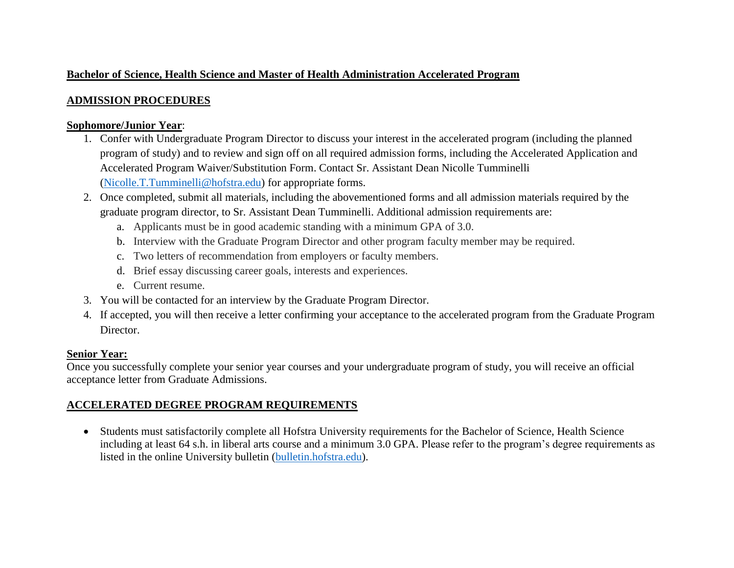### **Bachelor of Science, Health Science and Master of Health Administration Accelerated Program**

## **ADMISSION PROCEDURES**

#### **Sophomore/Junior Year**:

- 1. Confer with Undergraduate Program Director to discuss your interest in the accelerated program (including the planned program of study) and to review and sign off on all required admission forms, including the Accelerated Application and Accelerated Program Waiver/Substitution Form. Contact Sr. Assistant Dean Nicolle Tumminelli [\(Nicolle.T.Tumminelli@hofstra.edu\)](mailto:Nicolle.T.Tumminelli@hofstra.edu) for appropriate forms.
- 2. Once completed, submit all materials, including the abovementioned forms and all admission materials required by the graduate program director, to Sr. Assistant Dean Tumminelli. Additional admission requirements are:
	- a. Applicants must be in good academic standing with a minimum GPA of 3.0.
	- b. Interview with the Graduate Program Director and other program faculty member may be required.
	- c. Two letters of recommendation from employers or faculty members.
	- d. Brief essay discussing career goals, interests and experiences.
	- e. Current resume.
- 3. You will be contacted for an interview by the Graduate Program Director.
- 4. If accepted, you will then receive a letter confirming your acceptance to the accelerated program from the Graduate Program Director.

## **Senior Year:**

Once you successfully complete your senior year courses and your undergraduate program of study, you will receive an official acceptance letter from Graduate Admissions.

# **ACCELERATED DEGREE PROGRAM REQUIREMENTS**

 Students must satisfactorily complete all Hofstra University requirements for the Bachelor of Science, Health Science including at least 64 s.h. in liberal arts course and a minimum 3.0 GPA. Please refer to the program's degree requirements as listed in the online University bulletin [\(bulletin.hofstra.edu\)](http://bulletin.hofstra.edu/).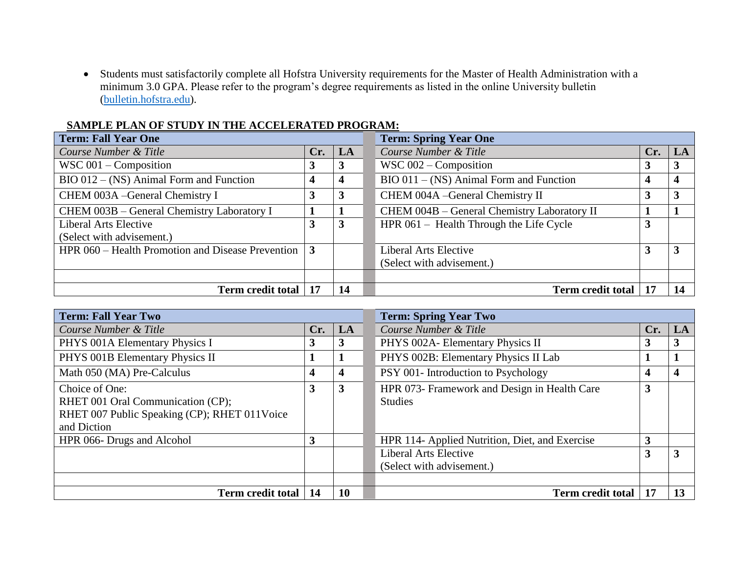Students must satisfactorily complete all Hofstra University requirements for the Master of Health Administration with a minimum 3.0 GPA. Please refer to the program's degree requirements as listed in the online University bulletin [\(bulletin.hofstra.edu\)](http://bulletin.hofstra.edu/).

#### **SAMPLE PLAN OF STUDY IN THE ACCELERATED PROGRAM:**

| <b>Term: Fall Year One</b>                                          |     |    | <b>Term: Spring Year One</b>                |                          |     |    |
|---------------------------------------------------------------------|-----|----|---------------------------------------------|--------------------------|-----|----|
| Course Number & Title                                               | Cr. | LA | Course Number & Title                       |                          | Cr. | LA |
| WSC $001$ – Composition                                             | 3   | J. | WSC $002$ – Composition                     |                          |     | 3  |
| $BIO 012 - (NS)$ Animal Form and Function                           |     |    | $BIO 011 - (NS)$ Animal Form and Function   |                          |     | 4  |
| CHEM 003A - General Chemistry I                                     | 3   | 3  | CHEM 004A - General Chemistry II            |                          |     |    |
| CHEM 003B – General Chemistry Laboratory I                          |     |    | CHEM 004B – General Chemistry Laboratory II |                          |     |    |
| Liberal Arts Elective                                               | 3   | 3  | HPR $061$ – Health Through the Life Cycle   |                          |     |    |
| (Select with advisement.)                                           |     |    |                                             |                          |     |    |
| HPR 060 – Health Promotion and Disease Prevention $\vert 3 \rangle$ |     |    | Liberal Arts Elective                       |                          |     | 3  |
|                                                                     |     |    | (Select with advisement.)                   |                          |     |    |
|                                                                     |     |    |                                             |                          |     |    |
| <b>Term credit total</b>                                            | 17  | 14 |                                             | <b>Term credit total</b> |     | 14 |

| <b>Term: Fall Year Two</b>                                                                                         |              |           | <b>Term: Spring Year Two</b>                                   |     |                        |  |
|--------------------------------------------------------------------------------------------------------------------|--------------|-----------|----------------------------------------------------------------|-----|------------------------|--|
| Course Number & Title                                                                                              | Cr.          | LA        | Course Number & Title                                          | Cr. | $\mathbf{L}\mathbf{A}$ |  |
| PHYS 001A Elementary Physics I                                                                                     | 3            | 3         | PHYS 002A- Elementary Physics II                               | J   | 3                      |  |
| PHYS 001B Elementary Physics II                                                                                    |              |           | PHYS 002B: Elementary Physics II Lab                           |     |                        |  |
| Math 050 (MA) Pre-Calculus                                                                                         | 4            | 4         | PSY 001- Introduction to Psychology                            |     | 4                      |  |
| Choice of One:<br>RHET 001 Oral Communication (CP);<br>RHET 007 Public Speaking (CP); RHET 011Voice<br>and Diction | $\mathbf{3}$ | 3         | HPR 073- Framework and Design in Health Care<br><b>Studies</b> | 3   |                        |  |
| HPR 066- Drugs and Alcohol                                                                                         | 3            |           | HPR 114- Applied Nutrition, Diet, and Exercise                 | ◠   |                        |  |
|                                                                                                                    |              |           | <b>Liberal Arts Elective</b><br>(Select with advisement.)      | 3   | 3                      |  |
| Term credit total                                                                                                  | 14           | <b>10</b> | <b>Term credit total</b>                                       | 17  | 13                     |  |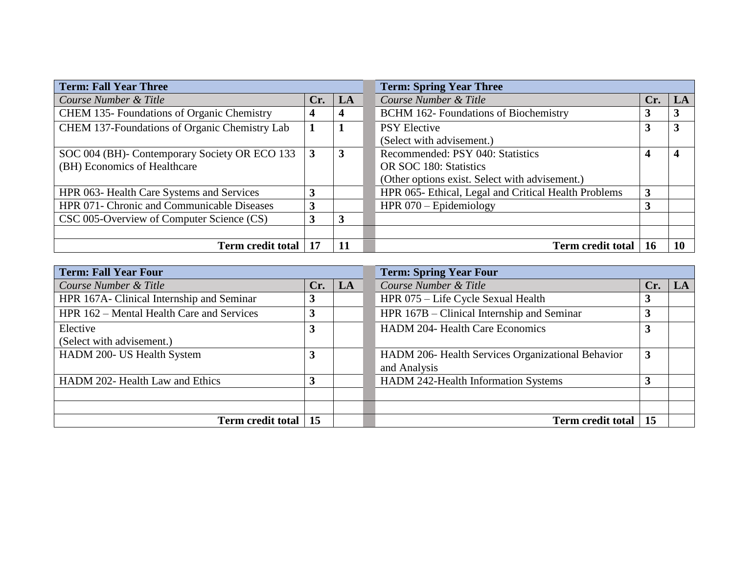| <b>Term: Fall Year Three</b>                      |     |                | <b>Term: Spring Year Three</b>                       |     |    |  |
|---------------------------------------------------|-----|----------------|------------------------------------------------------|-----|----|--|
| Course Number & Title                             | Cr. | LA             | Course Number & Title                                | Cr. | LA |  |
| <b>CHEM 135- Foundations of Organic Chemistry</b> | 4   |                | <b>BCHM 162- Foundations of Biochemistry</b>         |     | 3  |  |
| CHEM 137-Foundations of Organic Chemistry Lab     |     |                | <b>PSY Elective</b>                                  | 3   | 3  |  |
|                                                   |     |                | (Select with advisement.)                            |     |    |  |
| SOC 004 (BH)- Contemporary Society OR ECO 133     | 3   | $\overline{3}$ | Recommended: PSY 040: Statistics                     |     | 4  |  |
| (BH) Economics of Healthcare                      |     |                | OR SOC 180: Statistics                               |     |    |  |
|                                                   |     |                | (Other options exist. Select with advisement.)       |     |    |  |
| HPR 063- Health Care Systems and Services         | 3   |                | HPR 065- Ethical, Legal and Critical Health Problems | 3   |    |  |
| HPR 071- Chronic and Communicable Diseases        | 3   |                | HPR $070 -$ Epidemiology                             |     |    |  |
| CSC 005-Overview of Computer Science (CS)         | 3   | 3              |                                                      |     |    |  |
|                                                   |     |                |                                                      |     |    |  |
| <b>Term credit total</b>                          | 17  |                | <b>Term credit total</b>                             |     |    |  |

| <b>Term: Fall Year Four</b>               |     |    | <b>Term: Spring Year Four</b>                     |     |    |  |
|-------------------------------------------|-----|----|---------------------------------------------------|-----|----|--|
| Course Number & Title                     | Cr. | LA | Course Number & Title                             | Cr. | LA |  |
| HPR 167A- Clinical Internship and Seminar |     |    | HPR 075 – Life Cycle Sexual Health                | C   |    |  |
| HPR 162 – Mental Health Care and Services |     |    | HPR 167B – Clinical Internship and Seminar        |     |    |  |
| Elective                                  |     |    | <b>HADM 204- Health Care Economics</b>            |     |    |  |
| (Select with advisement.)                 |     |    |                                                   |     |    |  |
| HADM 200- US Health System                |     |    | HADM 206- Health Services Organizational Behavior | 3   |    |  |
|                                           |     |    | and Analysis                                      |     |    |  |
| HADM 202- Health Law and Ethics           |     |    | <b>HADM 242-Health Information Systems</b>        |     |    |  |
|                                           |     |    |                                                   |     |    |  |
|                                           |     |    |                                                   |     |    |  |
| <b>Term credit total</b>                  | 15  |    | <b>Term credit total</b>                          | 15  |    |  |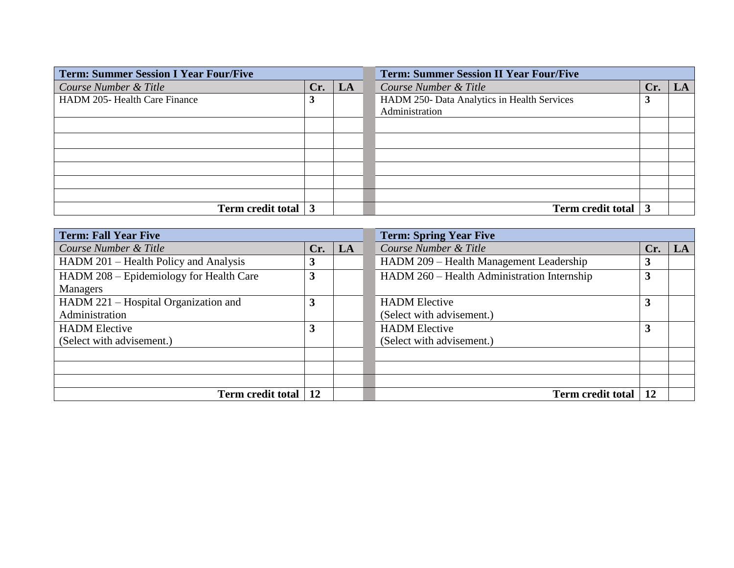| <b>Term: Summer Session I Year Four/Five</b> |                 |  | <b>Term: Summer Session II Year Four/Five</b> |     |    |  |
|----------------------------------------------|-----------------|--|-----------------------------------------------|-----|----|--|
| Course Number & Title                        | $Cr. \nvert LA$ |  | Course Number & Title                         | Cr. | LA |  |
| HADM 205- Health Care Finance                | 3               |  | HADM 250- Data Analytics in Health Services   | J.  |    |  |
|                                              |                 |  | Administration                                |     |    |  |
|                                              |                 |  |                                               |     |    |  |
|                                              |                 |  |                                               |     |    |  |
|                                              |                 |  |                                               |     |    |  |
|                                              |                 |  |                                               |     |    |  |
|                                              |                 |  |                                               |     |    |  |
|                                              |                 |  |                                               |     |    |  |
|                                              |                 |  |                                               |     |    |  |
| Term credit total   3                        |                 |  | Term credit total 3                           |     |    |  |

| <b>Term: Fall Year Five</b>             |           |    | <b>Term: Spring Year Five</b>               |     |    |  |  |
|-----------------------------------------|-----------|----|---------------------------------------------|-----|----|--|--|
| Course Number & Title                   | Cr.       | LA | Course Number & Title                       | Cr. | LA |  |  |
| HADM 201 – Health Policy and Analysis   | 3         |    | HADM 209 – Health Management Leadership     |     |    |  |  |
| HADM 208 – Epidemiology for Health Care | 3         |    | HADM 260 - Health Administration Internship | C   |    |  |  |
| Managers                                |           |    |                                             |     |    |  |  |
| HADM 221 – Hospital Organization and    | 3         |    | <b>HADM</b> Elective                        |     |    |  |  |
| Administration                          |           |    | (Select with advisement.)                   |     |    |  |  |
| <b>HADM</b> Elective                    | 3         |    | <b>HADM</b> Elective                        |     |    |  |  |
| (Select with advisement.)               |           |    | (Select with advisement.)                   |     |    |  |  |
|                                         |           |    |                                             |     |    |  |  |
|                                         |           |    |                                             |     |    |  |  |
|                                         |           |    |                                             |     |    |  |  |
| <b>Term credit total</b>                | <b>12</b> |    | <b>Term credit total</b>                    | 12  |    |  |  |